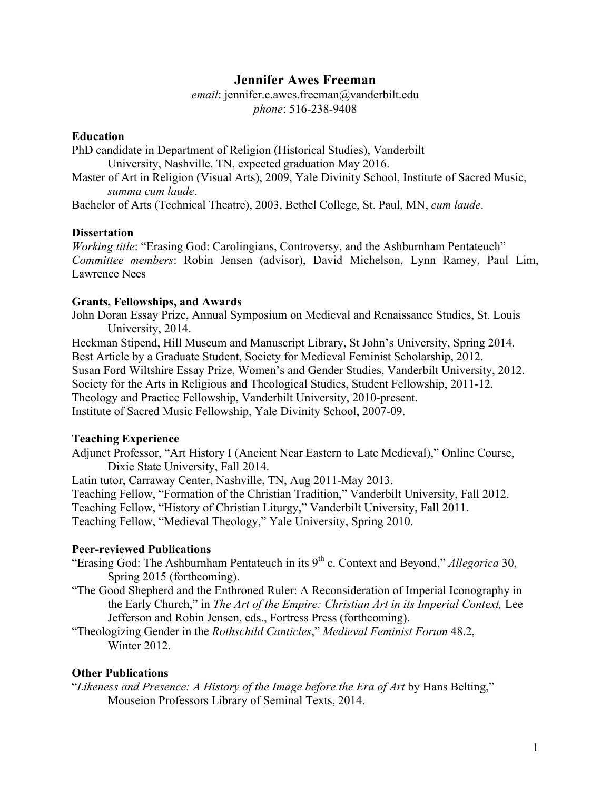# **Jennifer Awes Freeman**

*email*: jennifer.c.awes.freeman@vanderbilt.edu *phone*: 516-238-9408

## **Education**

PhD candidate in Department of Religion (Historical Studies), Vanderbilt University, Nashville, TN, expected graduation May 2016. Master of Art in Religion (Visual Arts), 2009, Yale Divinity School, Institute of Sacred Music, *summa cum laude*.

Bachelor of Arts (Technical Theatre), 2003, Bethel College, St. Paul, MN, *cum laude*.

#### **Dissertation**

*Working title*: "Erasing God: Carolingians, Controversy, and the Ashburnham Pentateuch" *Committee members*: Robin Jensen (advisor), David Michelson, Lynn Ramey, Paul Lim, Lawrence Nees

## **Grants, Fellowships, and Awards**

John Doran Essay Prize, Annual Symposium on Medieval and Renaissance Studies, St. Louis University, 2014.

Heckman Stipend, Hill Museum and Manuscript Library, St John's University, Spring 2014. Best Article by a Graduate Student, Society for Medieval Feminist Scholarship, 2012. Susan Ford Wiltshire Essay Prize, Women's and Gender Studies, Vanderbilt University, 2012. Society for the Arts in Religious and Theological Studies, Student Fellowship, 2011-12. Theology and Practice Fellowship, Vanderbilt University, 2010-present. Institute of Sacred Music Fellowship, Yale Divinity School, 2007-09.

## **Teaching Experience**

Adjunct Professor, "Art History I (Ancient Near Eastern to Late Medieval)," Online Course, Dixie State University, Fall 2014.

Latin tutor, Carraway Center, Nashville, TN, Aug 2011-May 2013.

Teaching Fellow, "Formation of the Christian Tradition," Vanderbilt University, Fall 2012.

Teaching Fellow, "History of Christian Liturgy," Vanderbilt University, Fall 2011.

Teaching Fellow, "Medieval Theology," Yale University, Spring 2010.

## **Peer-reviewed Publications**

"Erasing God: The Ashburnham Pentateuch in its 9<sup>th</sup> c. Context and Beyond," *Allegorica* 30, Spring 2015 (forthcoming).

"The Good Shepherd and the Enthroned Ruler: A Reconsideration of Imperial Iconography in the Early Church," in *The Art of the Empire: Christian Art in its Imperial Context,* Lee Jefferson and Robin Jensen, eds., Fortress Press (forthcoming).

"Theologizing Gender in the *Rothschild Canticles*," *Medieval Feminist Forum* 48.2, Winter 2012

## **Other Publications**

"*Likeness and Presence: A History of the Image before the Era of Art* by Hans Belting," Mouseion Professors Library of Seminal Texts, 2014.